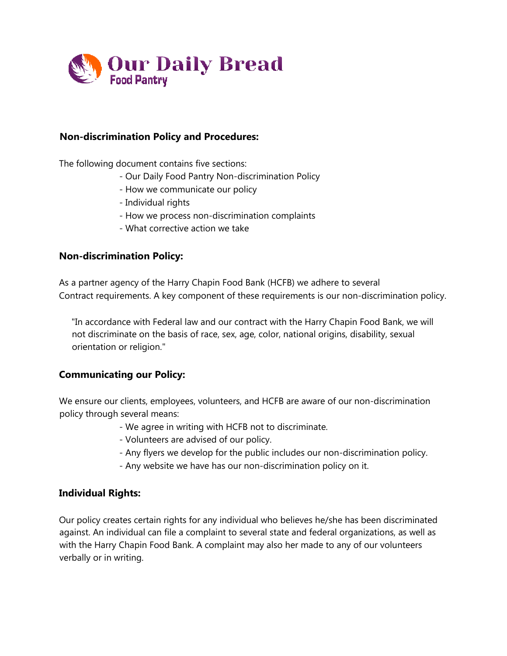

# **Non-discrimination Policy and Procedures:**

The following document contains five sections:

- Our Daily Food Pantry Non-discrimination Policy
- How we communicate our policy
- Individual rights
- How we process non-discrimination complaints
- What corrective action we take

### **Non-discrimination Policy:**

As a partner agency of the Harry Chapin Food Bank (HCFB) we adhere to several Contract requirements. A key component of these requirements is our non-discrimination policy.

"In accordance with Federal law and our contract with the Harry Chapin Food Bank, we will not discriminate on the basis of race, sex, age, color, national origins, disability, sexual orientation or religion."

### **Communicating our Policy:**

We ensure our clients, employees, volunteers, and HCFB are aware of our non-discrimination policy through several means:

- We agree in writing with HCFB not to discriminate.
- Volunteers are advised of our policy.
- Any flyers we develop for the public includes our non-discrimination policy.
- Any website we have has our non-discrimination policy on it.

### **Individual Rights:**

Our policy creates certain rights for any individual who believes he/she has been discriminated against. An individual can file a complaint to several state and federal organizations, as well as with the Harry Chapin Food Bank. A complaint may also her made to any of our volunteers verbally or in writing.